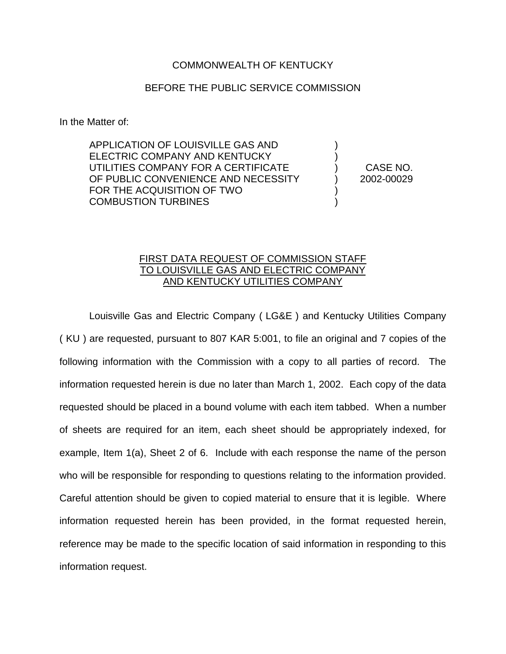## COMMONWEALTH OF KENTUCKY

## BEFORE THE PUBLIC SERVICE COMMISSION

In the Matter of:

APPLICATION OF LOUISVILLE GAS AND ELECTRIC COMPANY AND KENTUCKY UTILITIES COMPANY FOR A CERTIFICATE OF PUBLIC CONVENIENCE AND NECESSITY FOR THE ACQUISITION OF TWO COMBUSTION TURBINES

) CASE NO. ) 2002-00029

) )

) )

## FIRST DATA REQUEST OF COMMISSION STAFF TO LOUISVILLE GAS AND ELECTRIC COMPANY AND KENTUCKY UTILITIES COMPANY

Louisville Gas and Electric Company ( LG&E ) and Kentucky Utilities Company ( KU ) are requested, pursuant to 807 KAR 5:001, to file an original and 7 copies of the following information with the Commission with a copy to all parties of record. The information requested herein is due no later than March 1, 2002. Each copy of the data requested should be placed in a bound volume with each item tabbed. When a number of sheets are required for an item, each sheet should be appropriately indexed, for example, Item 1(a), Sheet 2 of 6. Include with each response the name of the person who will be responsible for responding to questions relating to the information provided. Careful attention should be given to copied material to ensure that it is legible. Where information requested herein has been provided, in the format requested herein, reference may be made to the specific location of said information in responding to this information request.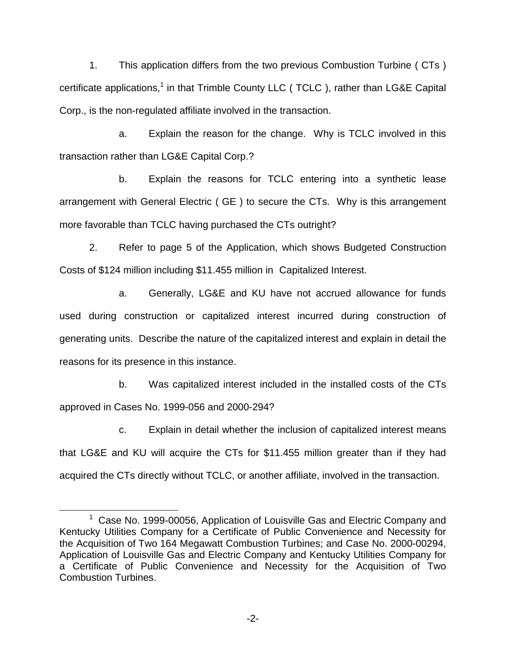1. This application differs from the two previous Combustion Turbine ( CTs ) certificate applications,<sup>1</sup> in that Trimble County LLC (TCLC), rather than LG&E Capital Corp., is the non-regulated affiliate involved in the transaction.

a. Explain the reason for the change. Why is TCLC involved in this transaction rather than LG&E Capital Corp.?

b. Explain the reasons for TCLC entering into a synthetic lease arrangement with General Electric ( GE ) to secure the CTs. Why is this arrangement more favorable than TCLC having purchased the CTs outright?

2. Refer to page 5 of the Application, which shows Budgeted Construction Costs of \$124 million including \$11.455 million in Capitalized Interest.

a. Generally, LG&E and KU have not accrued allowance for funds used during construction or capitalized interest incurred during construction of generating units. Describe the nature of the capitalized interest and explain in detail the reasons for its presence in this instance.

b. Was capitalized interest included in the installed costs of the CTs approved in Cases No. 1999-056 and 2000-294?

c. Explain in detail whether the inclusion of capitalized interest means that LG&E and KU will acquire the CTs for \$11.455 million greater than if they had acquired the CTs directly without TCLC, or another affiliate, involved in the transaction.

 $1$  Case No. 1999-00056, Application of Louisville Gas and Electric Company and Kentucky Utilities Company for a Certificate of Public Convenience and Necessity for the Acquisition of Two 164 Megawatt Combustion Turbines; and Case No. 2000-00294, Application of Louisville Gas and Electric Company and Kentucky Utilities Company for a Certificate of Public Convenience and Necessity for the Acquisition of Two Combustion Turbines.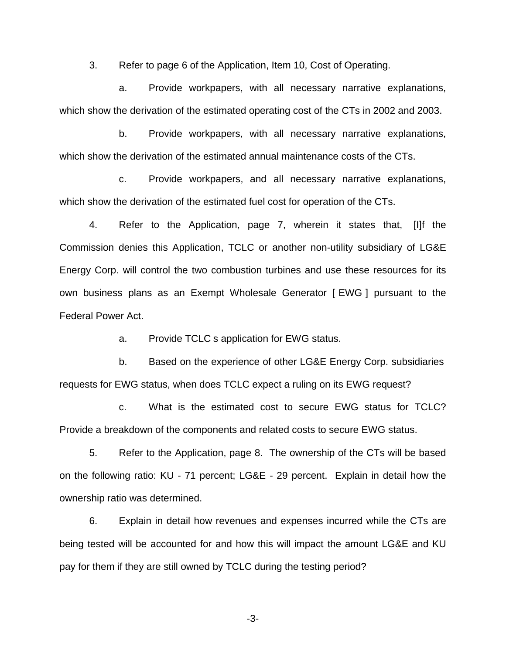3. Refer to page 6 of the Application, Item 10, Cost of Operating.

a. Provide workpapers, with all necessary narrative explanations, which show the derivation of the estimated operating cost of the CTs in 2002 and 2003.

b. Provide workpapers, with all necessary narrative explanations, which show the derivation of the estimated annual maintenance costs of the CTs.

c. Provide workpapers, and all necessary narrative explanations, which show the derivation of the estimated fuel cost for operation of the CTs.

4. Refer to the Application, page 7, wherein it states that, [I]f the Commission denies this Application, TCLC or another non-utility subsidiary of LG&E Energy Corp. will control the two combustion turbines and use these resources for its own business plans as an Exempt Wholesale Generator [ EWG ] pursuant to the Federal Power Act.

a. Provide TCLC s application for EWG status.

b. Based on the experience of other LG&E Energy Corp. subsidiaries requests for EWG status, when does TCLC expect a ruling on its EWG request?

c. What is the estimated cost to secure EWG status for TCLC? Provide a breakdown of the components and related costs to secure EWG status.

5. Refer to the Application, page 8. The ownership of the CTs will be based on the following ratio: KU - 71 percent; LG&E - 29 percent. Explain in detail how the ownership ratio was determined.

6. Explain in detail how revenues and expenses incurred while the CTs are being tested will be accounted for and how this will impact the amount LG&E and KU pay for them if they are still owned by TCLC during the testing period?

-3-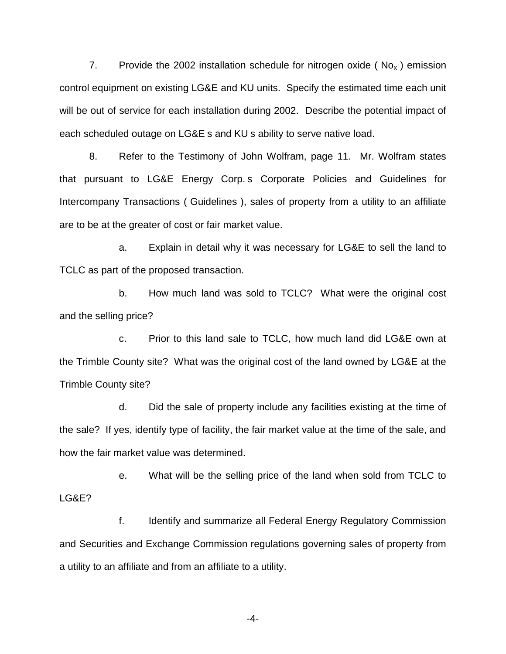7. Provide the 2002 installation schedule for nitrogen oxide ( $N_{\text{O}_X}$ ) emission control equipment on existing LG&E and KU units. Specify the estimated time each unit will be out of service for each installation during 2002. Describe the potential impact of each scheduled outage on LG&E s and KU s ability to serve native load.

8. Refer to the Testimony of John Wolfram, page 11. Mr. Wolfram states that pursuant to LG&E Energy Corp. s Corporate Policies and Guidelines for Intercompany Transactions ( Guidelines ), sales of property from a utility to an affiliate are to be at the greater of cost or fair market value.

a. Explain in detail why it was necessary for LG&E to sell the land to TCLC as part of the proposed transaction.

b. How much land was sold to TCLC? What were the original cost and the selling price?

c. Prior to this land sale to TCLC, how much land did LG&E own at the Trimble County site? What was the original cost of the land owned by LG&E at the Trimble County site?

d. Did the sale of property include any facilities existing at the time of the sale? If yes, identify type of facility, the fair market value at the time of the sale, and how the fair market value was determined.

e. What will be the selling price of the land when sold from TCLC to LG&E?

f. Identify and summarize all Federal Energy Regulatory Commission and Securities and Exchange Commission regulations governing sales of property from a utility to an affiliate and from an affiliate to a utility.

-4-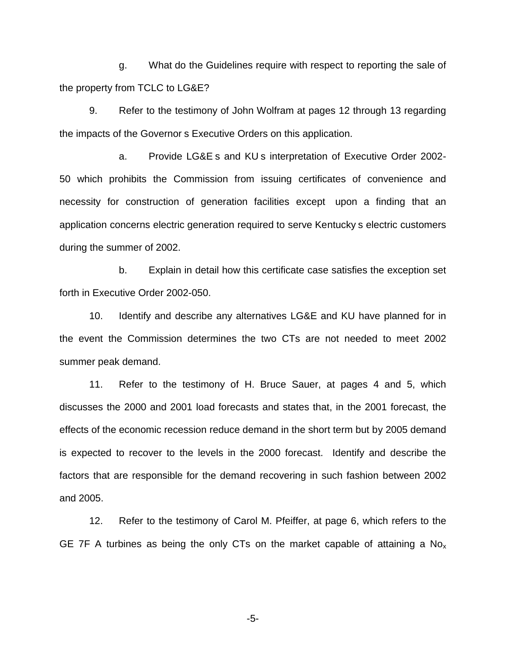g. What do the Guidelines require with respect to reporting the sale of the property from TCLC to LG&E?

9. Refer to the testimony of John Wolfram at pages 12 through 13 regarding the impacts of the Governor s Executive Orders on this application.

a. Provide LG&E s and KU s interpretation of Executive Order 2002- 50 which prohibits the Commission from issuing certificates of convenience and necessity for construction of generation facilities except upon a finding that an application concerns electric generation required to serve Kentucky s electric customers during the summer of 2002.

b. Explain in detail how this certificate case satisfies the exception set forth in Executive Order 2002-050.

10. Identify and describe any alternatives LG&E and KU have planned for in the event the Commission determines the two CTs are not needed to meet 2002 summer peak demand.

11. Refer to the testimony of H. Bruce Sauer, at pages 4 and 5, which discusses the 2000 and 2001 load forecasts and states that, in the 2001 forecast, the effects of the economic recession reduce demand in the short term but by 2005 demand is expected to recover to the levels in the 2000 forecast. Identify and describe the factors that are responsible for the demand recovering in such fashion between 2002 and 2005.

12. Refer to the testimony of Carol M. Pfeiffer, at page 6, which refers to the GE 7F A turbines as being the only CTs on the market capable of attaining a  $No<sub>x</sub>$ 

-5-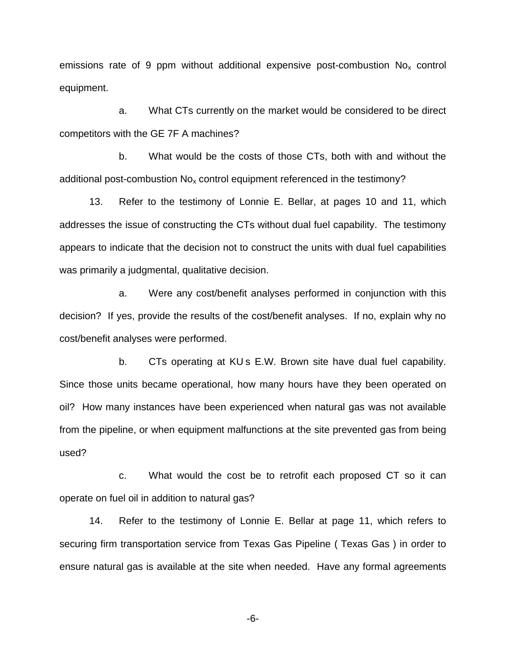emissions rate of 9 ppm without additional expensive post-combustion  $No<sub>x</sub>$  control equipment.

a. What CTs currently on the market would be considered to be direct competitors with the GE 7F A machines?

b. What would be the costs of those CTs, both with and without the additional post-combustion  $No_x$  control equipment referenced in the testimony?

13. Refer to the testimony of Lonnie E. Bellar, at pages 10 and 11, which addresses the issue of constructing the CTs without dual fuel capability. The testimony appears to indicate that the decision not to construct the units with dual fuel capabilities was primarily a judgmental, qualitative decision.

a. Were any cost/benefit analyses performed in conjunction with this decision? If yes, provide the results of the cost/benefit analyses. If no, explain why no cost/benefit analyses were performed.

b. CTs operating at KU s E.W. Brown site have dual fuel capability. Since those units became operational, how many hours have they been operated on oil? How many instances have been experienced when natural gas was not available from the pipeline, or when equipment malfunctions at the site prevented gas from being used?

c. What would the cost be to retrofit each proposed CT so it can operate on fuel oil in addition to natural gas?

14. Refer to the testimony of Lonnie E. Bellar at page 11, which refers to securing firm transportation service from Texas Gas Pipeline ( Texas Gas ) in order to ensure natural gas is available at the site when needed. Have any formal agreements

-6-